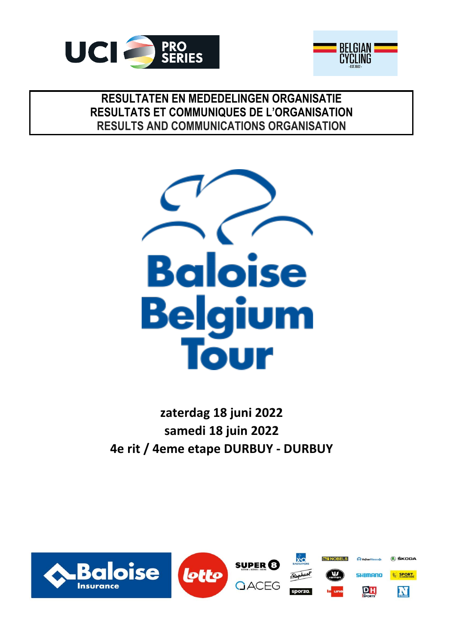



## **RESULTATEN EN MEDEDELINGEN ORGANISATIE RESULTS AND COMMUNICATIONS ORGANISATION RESULTATS ET COMMUNIQUES DE L'ORGANISATION**



**zaterdag 18 juni 2022 4e rit / 4eme etape DURBUY - DURBUY samedi 18 juin 2022**

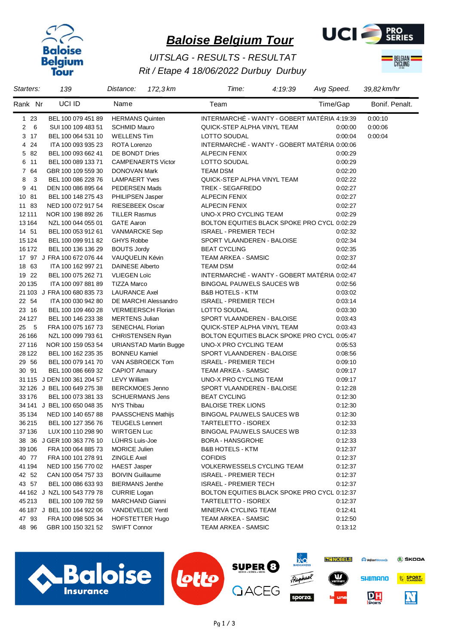



## *Rit / Etape 4 18/06/2022 Durbuy Durbuy UITSLAG - RESULTS - RESULTAT*



| Starters:             | 139                         | Distance:                     | 172,3 km | Time:                                        | 4:19:39 | Avg Speed. | 39,82 km/hr    |
|-----------------------|-----------------------------|-------------------------------|----------|----------------------------------------------|---------|------------|----------------|
| Rank Nr               | UCI ID                      | Name                          |          | Team                                         |         | Time/Gap   | Bonif. Penalt. |
| $123$                 | BEL 100 079 451 89          | <b>HERMANS Quinten</b>        |          | INTERMARCHÉ - WANTY - GOBERT MATÉRIA 4:19:39 |         |            | 0:00:10        |
| $\overline{2}$<br>- 6 | SUI 100 109 483 51          | <b>SCHMID Mauro</b>           |          | QUICK-STEP ALPHA VINYL TEAM                  |         | 0:00:00    | 0.00:06        |
| 3 <sub>17</sub>       | BEL 100 064 531 10          | <b>WELLENS Tim</b>            |          | LOTTO SOUDAL                                 |         | 0:00:04    | 0:00:04        |
| 4 24                  | ITA 100 093 935 23          | ROTA Lorenzo                  |          | INTERMARCHÉ - WANTY - GOBERT MATÉRIA 0:00:06 |         |            |                |
| 5 82                  | BEL 100 093 662 41          | DE BONDT Dries                |          | <b>ALPECIN FENIX</b>                         |         | 0:00:29    |                |
| 6 11                  | BEL 100 089 133 71          | <b>CAMPENAERTS Victor</b>     |          | LOTTO SOUDAL                                 |         | 0:00:29    |                |
| 7 64                  | GBR 100 109 559 30          | DONOVAN Mark                  |          | <b>TEAM DSM</b>                              |         | 0:02:20    |                |
| 8<br>$\mathbf{3}$     | BEL 100 086 228 76          | <b>LAMPAERT Yves</b>          |          | QUICK-STEP ALPHA VINYL TEAM                  |         | 0:02:22    |                |
| 9 41                  | DEN 100 086 895 64          | <b>PEDERSEN Mads</b>          |          | TREK - SEGAFREDO                             |         | 0:02:27    |                |
| 10 81                 | BEL 100 148 275 43          | <b>PHILIPSEN Jasper</b>       |          | <b>ALPECIN FENIX</b>                         |         | 0:02:27    |                |
| 11 83                 | NED 100 072 917 54          | <b>RIESEBEEK Oscar</b>        |          | <b>ALPECIN FENIX</b>                         |         | 0:02:27    |                |
| 12 11 1               | NOR 100 198 892 26          | <b>TILLER Rasmus</b>          |          | UNO-X PRO CYCLING TEAM                       |         | 0:02:29    |                |
| 13 164                | NZL 100 044 055 01          | <b>GATE Aaron</b>             |          | BOLTON EQUITIES BLACK SPOKE PRO CYCL 0:02:29 |         |            |                |
| 14 51                 | BEL 100 053 912 61          | <b>VANMARCKE Sep</b>          |          | <b>ISRAEL - PREMIER TECH</b>                 |         | 0:02:32    |                |
| 15 1 24               | BEL 100 099 911 82          | <b>GHYS Robbe</b>             |          | SPORT VLAANDEREN - BALOISE                   |         | 0:02:34    |                |
| 16 172                | BEL 100 136 136 29          | <b>BOUTS Jordy</b>            |          | <b>BEAT CYCLING</b>                          |         | 0:02:35    |                |
|                       | 17 97 J FRA 100 672 076 44  | VAUQUELIN Kévin               |          | <b>TEAM ARKEA - SAMSIC</b>                   |         | 0:02:37    |                |
| 18 63                 | ITA 100 162 997 21          | <b>DAINESE Alberto</b>        |          | <b>TEAM DSM</b>                              |         | 0:02:44    |                |
| 19 22                 | BEL 100 075 262 71          | <b>VLIEGEN Loïc</b>           |          | INTERMARCHÉ - WANTY - GOBERT MATÉRIA 0:02:47 |         |            |                |
| 20 135                | ITA 100 097 881 89          | <b>TIZZA Marco</b>            |          | <b>BINGOAL PAUWELS SAUCES WB</b>             |         | 0:02:56    |                |
|                       | 21 103 J FRA 100 680 835 73 | <b>LAURANCE Axel</b>          |          | <b>B&amp;B HOTELS - KTM</b>                  |         | 0:03:02    |                |
| 22 54                 | ITA 100 030 942 80          | DE MARCHI Alessandro          |          | <b>ISRAEL - PREMIER TECH</b>                 |         | 0.03.14    |                |
| 23 16                 | BEL 100 109 460 28          | <b>VERMEERSCH Florian</b>     |          | LOTTO SOUDAL                                 |         | 0:03:30    |                |
| 24 1 27               | BEL 100 146 233 38          | <b>MERTENS Julian</b>         |          | SPORT VLAANDEREN - BALOISE                   |         | 0:03:43    |                |
| 25 5                  | FRA 100 075 167 73          | <b>SENECHAL Florian</b>       |          | QUICK-STEP ALPHA VINYL TEAM                  |         | 0:03:43    |                |
| 26 166                | NZL 100 099 793 61          | <b>CHRISTENSEN Ryan</b>       |          | BOLTON EQUITIES BLACK SPOKE PRO CYCL 0:05:47 |         |            |                |
| 27 116                | NOR 100 159 053 54          | <b>URIANSTAD Martin Bugge</b> |          | UNO-X PRO CYCLING TEAM                       |         | 0:05:53    |                |
| 28 1 22               | BEL 100 162 235 35          | <b>BONNEU Kamiel</b>          |          | SPORT VLAANDEREN - BALOISE                   |         | 0:08:56    |                |
| 29 56                 | BEL 100 079 141 70          | VAN ASBROECK Tom              |          | <b>ISRAEL - PREMIER TECH</b>                 |         | 0:09:10    |                |
| 30 91                 | BEL 100 086 669 32          | <b>CAPIOT Amaury</b>          |          | TEAM ARKEA - SAMSIC                          |         | 0:09:17    |                |
|                       | 31 115 J DEN 100 361 204 57 | <b>LEVY William</b>           |          | UNO-X PRO CYCLING TEAM                       |         | 0:09:17    |                |
|                       | 32 126 J BEL 100 649 275 38 | <b>BERCKMOES Jenno</b>        |          | SPORT VLAANDEREN - BALOISE                   |         | 0:12:28    |                |
| 33 176                | BEL 100 073 381 33          | <b>SCHUERMANS Jens</b>        |          | <b>BEAT CYCLING</b>                          |         | 0.12:30    |                |
|                       | 34 141 J BEL 100 650 048 35 | NYS Thibau                    |          | <b>BALOISE TREK LIONS</b>                    |         | 0:12:30    |                |
| 35 1 34               | NED 100 140 657 88          | PAASSCHENS Mathijs            |          | BINGOAL PAUWELS SAUCES WB                    |         | 0:12:30    |                |
| 36215                 | BEL 100 127 356 76          | <b>TEUGELS Lennert</b>        |          | TARTELETTO - ISOREX                          |         | 0:12:33    |                |
| 37 136                | LUX 100 110 298 90          | <b>WIRTGEN Luc</b>            |          | BINGOAL PAUWELS SAUCES WB                    |         | 0:12:33    |                |
|                       | 38 36 J GER 100 363 776 10  | LÜHRS Luis-Joe                |          | <b>BORA - HANSGROHE</b>                      |         | 0:12:33    |                |
| 39 106                | FRA 100 064 885 73          | <b>MORICE Julien</b>          |          | <b>B&amp;B HOTELS - KTM</b>                  |         | 0:12:37    |                |
| 40 77                 | FRA 100 101 278 91          | <b>ZINGLE Axel</b>            |          | <b>COFIDIS</b>                               |         | 0:12:37    |                |
| 41 194                | NED 100 156 770 02          | <b>HAEST Jasper</b>           |          | <b>VOLKERWESSELS CYCLING TEAM</b>            |         | 0:12:37    |                |
| 42 52                 | CAN 100 054 757 33          | <b>BOIVIN Guillaume</b>       |          | <b>ISRAEL - PREMIER TECH</b>                 |         | 0.12:37    |                |
| 43 57                 | BEL 100 086 633 93          | <b>BIERMANS Jenthe</b>        |          | <b>ISRAEL - PREMIER TECH</b>                 |         | 0:12:37    |                |
|                       | 44 162 J NZL 100 543 779 78 | <b>CURRIE Logan</b>           |          | BOLTON EQUITIES BLACK SPOKE PRO CYCL 0:12:37 |         |            |                |
| 45 213                | BEL 100 109 782 59          | MARCHAND Gianni               |          | TARTELETTO - ISOREX                          |         | 0:12:37    |                |
|                       | 46 187 J BEL 100 164 922 06 | VANDEVELDE Yentl              |          | MINERVA CYCLING TEAM                         |         | 0:12:41    |                |
| 4793                  | FRA 100 098 505 34          | <b>HOFSTETTER Hugo</b>        |          | TEAM ARKEA - SAMSIC                          |         | 0:12:50    |                |
| 48 96                 | GBR 100 150 321 52          | <b>SWIFT Connor</b>           |          | TEAM ARKEA - SAMSIC                          |         | 0:13:12    |                |

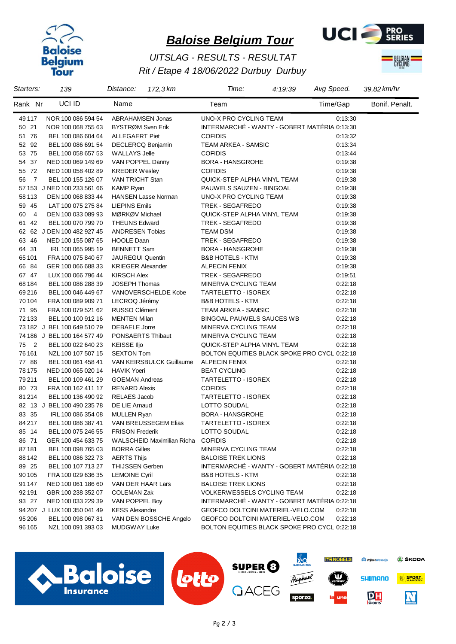



## *Rit / Etape 4 18/06/2022 Durbuy Durbuy UITSLAG - RESULTS - RESULTAT*



| Starters:            | 139                         | Distance:                  | 172,3 km                   | Time:                                        | 4:19:39 | Avg Speed. | 39,82 km/hr    |
|----------------------|-----------------------------|----------------------------|----------------------------|----------------------------------------------|---------|------------|----------------|
| Rank Nr              | UCI ID                      | Name                       |                            | Team                                         |         | Time/Gap   | Bonif. Penalt. |
| 49 117               | NOR 100 086 594 54          | ABRAHAMSEN Jonas           |                            | UNO-X PRO CYCLING TEAM                       |         | 0.13.30    |                |
| 50 21                | NOR 100 068 755 63          | BYSTRØM Sven Erik          |                            | INTERMARCHÉ - WANTY - GOBERT MATÉRIA 0:13:30 |         |            |                |
| 51 76                | BEL 100 086 604 64          | <b>ALLEGAERT Piet</b>      |                            | <b>COFIDIS</b>                               |         | 0:13:32    |                |
| 52 92                | BEL 100 086 691 54          | DECLERCQ Benjamin          |                            | TEAM ARKEA - SAMSIC                          |         | 0.13:34    |                |
| 53 75                | BEL 100 058 657 53          | <b>WALLAYS Jelle</b>       |                            | <b>COFIDIS</b>                               |         | 0:13:44    |                |
| 54 37                | NED 100 069 149 69          | VAN POPPEL Danny           |                            | <b>BORA - HANSGROHE</b>                      |         | 0:19:38    |                |
| 55 72                | NED 100 058 402 89          | <b>KREDER Wesley</b>       |                            | <b>COFIDIS</b>                               |         | 0:19:38    |                |
| 56<br>$\overline{7}$ | BEL 100 155 126 07          | VAN TRICHT Stan            |                            | QUICK-STEP ALPHA VINYL TEAM                  |         | 0:19:38    |                |
|                      | 57 153 J NED 100 233 561 66 | <b>KAMP Ryan</b>           |                            | PAUWELS SAUZEN - BINGOAL                     |         | 0:19:38    |                |
| 58 113               | DEN 100 068 833 44          | <b>HANSEN Lasse Norman</b> |                            | UNO-X PRO CYCLING TEAM                       |         | 0:19:38    |                |
| 59 45                | LAT 100 075 275 84          | <b>LIEPINS Emils</b>       |                            | TREK - SEGAFREDO                             |         | 0:19:38    |                |
| $\overline{4}$<br>60 | DEN 100 033 089 93          | MØRKØV Michael             |                            | QUICK-STEP ALPHA VINYL TEAM                  |         | 0:19:38    |                |
| 61 42                | BEL 100 070 799 70          | <b>THEUNS Edward</b>       |                            | TREK - SEGAFREDO                             |         | 0.19.38    |                |
|                      | 62 62 J DEN 100 482 927 45  | <b>ANDRESEN Tobias</b>     |                            | <b>TEAM DSM</b>                              |         | 0:19:38    |                |
| 63 46                | NED 100 155 087 65          | <b>HOOLE Daan</b>          |                            | TREK - SEGAFREDO                             |         | 0:19:38    |                |
| 64 31                | IRL 100 065 995 19          | <b>BENNETT Sam</b>         |                            | <b>BORA - HANSGROHE</b>                      |         | 0:19:38    |                |
| 65 101               | FRA 100 075 840 67          | <b>JAUREGUI Quentin</b>    |                            | <b>B&amp;B HOTELS - KTM</b>                  |         | 0:19:38    |                |
| 66 84                | GER 100 066 688 33          | <b>KRIEGER Alexander</b>   |                            | <b>ALPECIN FENIX</b>                         |         | 0:19:38    |                |
| 67 47                | LUX 100 066 796 44          | <b>KIRSCH Alex</b>         |                            | TREK - SEGAFREDO                             |         | 0:19:51    |                |
| 68 184               | BEL 100 086 288 39          | <b>JOSEPH Thomas</b>       |                            | MINERVA CYCLING TEAM                         |         | 0:22:18    |                |
| 69216                | BEL 100 046 449 67          |                            | VANOVERSCHELDE Kobe        | TARTELETTO - ISOREX                          |         | 0:22:18    |                |
| 70 104               | FRA 100 089 909 71          | LECROQ Jérémy              |                            | <b>B&amp;B HOTELS - KTM</b>                  |         | 0:22:18    |                |
| 71 95                | FRA 100 079 521 62          | RUSSO Clément              |                            | TEAM ARKEA - SAMSIC                          |         | 0:22:18    |                |
| 72 133               | BEL 100 100 912 16          | <b>MENTEN Milan</b>        |                            | BINGOAL PAUWELS SAUCES WB                    |         | 0:22:18    |                |
|                      | 73 182 J BEL 100 649 510 79 | <b>DEBAELE Jorre</b>       |                            | MINERVA CYCLING TEAM                         |         | 0.22:18    |                |
|                      | 74 186 J BEL 100 164 577 49 | PONSAERTS Thibaut          |                            | MINERVA CYCLING TEAM                         |         | 0:22:18    |                |
| 75 2                 | BEL 100 022 640 23          | <b>KEISSE IIjo</b>         |                            | QUICK-STEP ALPHA VINYL TEAM                  |         | 0:22:18    |                |
| 76 161               | NZL 100 107 507 15          | <b>SEXTON Tom</b>          |                            | BOLTON EQUITIES BLACK SPOKE PRO CYCL 0:22:18 |         |            |                |
| 77 86                | BEL 100 061 458 41          |                            | VAN KEIRSBULCK Guillaume   | <b>ALPECIN FENIX</b>                         |         | 0:22:18    |                |
| 78 175               | NED 100 065 020 14          | <b>HAVIK Yoeri</b>         |                            | <b>BEAT CYCLING</b>                          |         | 0.22:18    |                |
| 79 211               | BEL 100 109 461 29          | <b>GOEMAN Andreas</b>      |                            | TARTELETTO - ISOREX                          |         | 0.22:18    |                |
| 80 73                | FRA 100 162 411 17          | <b>RENARD Alexis</b>       |                            | <b>COFIDIS</b>                               |         | 0:22:18    |                |
| 81 214               | BEL 100 136 490 92          | RELAES Jacob               |                            | TARTELETTO - ISOREX                          |         | 0.22:18    |                |
|                      | 82 13 J BEL 100 490 235 78  | DE LIE Arnaud              |                            | LOTTO SOUDAL                                 |         | 0:22:18    |                |
| 83 35                | IRL 100 086 354 08          | <b>MULLEN Ryan</b>         |                            | <b>BORA - HANSGROHE</b>                      |         | 0.22:18    |                |
| 84 217               | BEL 100 086 387 41          |                            | VAN BREUSSEGEM Elias       | TARTELETTO - ISOREX                          |         | 0:22:18    |                |
| 85 14                | BEL 100 075 246 55          | <b>FRISON Frederik</b>     |                            | LOTTO SOUDAL                                 |         | 0:22:18    |                |
| 86 71                | GER 100 454 633 75          |                            | WALSCHEID Maximilian Richa | <b>COFIDIS</b>                               |         | 0:22:18    |                |
| 87 181               | BEL 100 098 765 03          | <b>BORRA Gilles</b>        |                            | MINERVA CYCLING TEAM                         |         | 0.22:18    |                |
| 88 142               | BEL 100 086 322 73          | <b>AERTS Thijs</b>         |                            | <b>BALOISE TREK LIONS</b>                    |         | 0.22:18    |                |
| 89 25                | BEL 100 107 713 27          | <b>THIJSSEN Gerben</b>     |                            | INTERMARCHÉ - WANTY - GOBERT MATÉRIA 0:22:18 |         |            |                |
| 90 105               | FRA 100 029 636 35          | <b>LEMOINE Cyril</b>       |                            | <b>B&amp;B HOTELS - KTM</b>                  |         | 0.22:18    |                |
| 91 147               | NED 100 061 186 60          | VAN DER HAAR Lars          |                            | <b>BALOISE TREK LIONS</b>                    |         | 0.22:18    |                |
| 92 191               | GBR 100 238 352 07          | <b>COLEMAN Zak</b>         |                            | <b>VOLKERWESSELS CYCLING TEAM</b>            |         | 0.22:18    |                |
| 93 27                | NED 100 033 229 39          | VAN POPPEL Boy             |                            | INTERMARCHÉ - WANTY - GOBERT MATÉRIA 0:22:18 |         |            |                |
|                      | 94 207 J LUX 100 350 041 49 | <b>KESS Alexandre</b>      |                            | GEOFCO DOLTCINI MATERIEL-VELO.COM            |         | 0:22:18    |                |
| 95 206               | BEL 100 098 067 81          |                            | VAN DEN BOSSCHE Angelo     | GEOFCO DOLTCINI MATERIEL-VELO.COM            |         | 0.22:18    |                |
| 96 165               | NZL 100 091 393 03          | MUDGWAY Luke               |                            | BOLTON EQUITIES BLACK SPOKE PRO CYCL 0:22:18 |         |            |                |
|                      |                             |                            |                            |                                              |         |            |                |

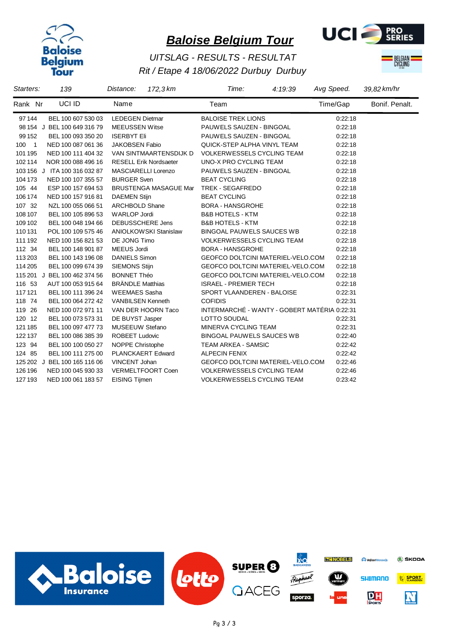



## *Rit / Etape 4 18/06/2022 Durbuy Durbuy UITSLAG - RESULTS - RESULTAT*



| Starters:                         | 139                          | 172,3 km<br>Distance:         | Time:<br>4:19:39                             | Avg Speed. | 39,82 km/hr    |
|-----------------------------------|------------------------------|-------------------------------|----------------------------------------------|------------|----------------|
| Rank Nr                           | UCI ID                       | Name                          | Team                                         | Time/Gap   | Bonif. Penalt. |
| 97 144                            | BEL 100 607 530 03           | <b>LEDEGEN Dietmar</b>        | <b>BALOISE TREK LIONS</b>                    | 0:22:18    |                |
|                                   | 98 154 J BEL 100 649 316 79  | <b>MEEUSSEN Witse</b>         | PAUWELS SAUZEN - BINGOAL                     | 0:22:18    |                |
| 99 152                            | BEL 100 093 350 20           | <b>ISERBYT Eli</b>            | PAUWELS SAUZEN - BINGOAL                     | 0:22:18    |                |
| 100<br>$\overline{\phantom{0}}$ 1 | NED 100 087 061 36           | <b>JAKOBSEN Fabio</b>         | QUICK-STEP ALPHA VINYL TEAM                  | 0:22:18    |                |
| 101 195                           | NED 100 111 404 32           | VAN SINTMAARTENSDIJK D        | <b>VOLKERWESSELS CYCLING TEAM</b>            | 0:22:18    |                |
| 102 114                           | NOR 100 088 496 16           | <b>RESELL Erik Nordsaeter</b> | UNO-X PRO CYCLING TEAM                       | 0.22:18    |                |
|                                   | 103 156 J ITA 100 316 032 87 | <b>MASCIARELLI Lorenzo</b>    | PAUWELS SAUZEN - BINGOAL                     | 0:22:18    |                |
| 104 173                           | NED 100 107 355 57           | <b>BURGER Sven</b>            | <b>BEAT CYCLING</b>                          | 0:22:18    |                |
| 105 44                            | ESP 100 157 694 53           | <b>BRUSTENGA MASAGUE Mar</b>  | <b>TREK - SEGAFREDO</b>                      | 0:22:18    |                |
| 106 174                           | NED 100 157 916 81           | <b>DAEMEN Stijn</b>           | <b>BEAT CYCLING</b>                          | 0:22:18    |                |
| 107 32                            | NZL 100 055 066 51           | <b>ARCHBOLD Shane</b>         | <b>BORA - HANSGROHE</b>                      | 0:22:18    |                |
| 108 107                           | BEL 100 105 896 53           | <b>WARLOP Jordi</b>           | <b>B&amp;B HOTELS - KTM</b>                  | 0.22:18    |                |
| 109 102                           | BEL 100 048 194 66           | DEBUSSCHERE Jens              | <b>B&amp;B HOTELS - KTM</b>                  | 0:22:18    |                |
| 110 131                           | POL 100 109 575 46           | <b>ANIOLKOWSKI Stanislaw</b>  | <b>BINGOAL PAUWELS SAUCES WB</b>             | 0.22:18    |                |
| 111 192                           | NED 100 156 821 53           | DE JONG Timo                  | <b>VOLKERWESSELS CYCLING TEAM</b>            | 0:22:18    |                |
| 112 34                            | BEL 100 148 901 87           | <b>MEEUS Jordi</b>            | <b>BORA - HANSGROHE</b>                      | 0:22:18    |                |
| 113 203                           | BEL 100 143 196 08           | <b>DANIELS Simon</b>          | <b>GEOFCO DOLTCINI MATERIEL-VELO.COM</b>     | 0:22:18    |                |
| 114 205                           | BEL 100 099 674 39           | <b>SIEMONS Stijn</b>          | GEOFCO DOLTCINI MATERIEL-VELO.COM            | 0:22:18    |                |
|                                   | 115 201 J BEL 100 462 374 56 | <b>BONNET Théo</b>            | GEOFCO DOLTCINI MATERIEL-VELO.COM            | 0:22:18    |                |
| 116 53                            | AUT 100 053 915 64           | <b>BRÄNDLE Matthias</b>       | <b>ISRAEL - PREMIER TECH</b>                 | 0.22:18    |                |
| 117 121                           | BEL 100 111 396 24           | <b>WEEMAES Sasha</b>          | SPORT VLAANDEREN - BALOISE                   | 0.22:31    |                |
| 118 74                            | BEL 100 064 272 42           | <b>VANBILSEN Kenneth</b>      | <b>COFIDIS</b>                               | 0.22:31    |                |
| 119 26                            | NED 100 072 971 11           | VAN DER HOORN Taco            | INTERMARCHÉ - WANTY - GOBERT MATÉRIA 0:22:31 |            |                |
| 120 12                            | BEL 100 073 573 31           | DE BUYST Jasper               | LOTTO SOUDAL                                 | 0.22:31    |                |
| 121 185                           | BEL 100 097 477 73           | <b>MUSEEUW Stefano</b>        | MINERVA CYCLING TEAM                         | 0:22:31    |                |
| 122 137                           | BEL 100 086 385 39           | <b>ROBEET Ludovic</b>         | <b>BINGOAL PAUWELS SAUCES WB</b>             | 0:22:40    |                |
| 123 94                            | BEL 100 100 050 27           | <b>NOPPE Christophe</b>       | TEAM ARKEA - SAMSIC                          | 0.22:42    |                |
| 124 85                            | BEL 100 111 275 00           | <b>PLANCKAERT Edward</b>      | <b>ALPECIN FENIX</b>                         | 0.22:42    |                |
|                                   | 125 202 J BEL 100 165 116 06 | VINCENT Johan                 | GEOFCO DOLTCINI MATERIEL-VELO.COM            | 0:22:46    |                |
| 126 196                           | NED 100 045 930 33           | VERMELTFOORT Coen             | <b>VOLKERWESSELS CYCLING TEAM</b>            | 0:22:46    |                |
| 127 193                           | NED 100 061 183 57           | <b>EISING Tijmen</b>          | <b>VOLKERWESSELS CYCLING TEAM</b>            | 0:23:42    |                |

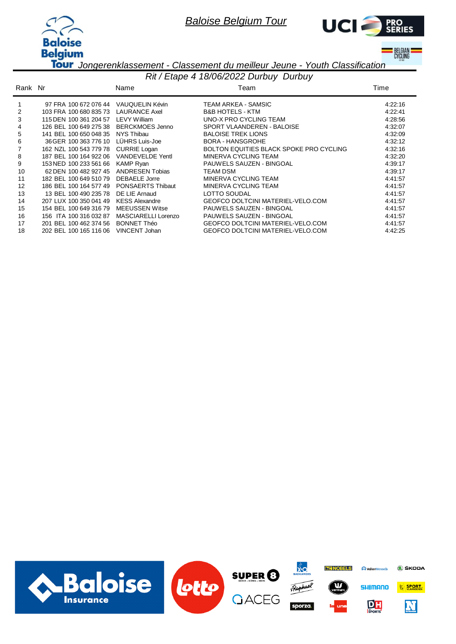



**BELGIAN**<br>Cycling

*Jongerenklassement - Classement du meilleur Jeune - Youth Classification*

|         | Rit / Etape 4 18/06/2022 Durbuy Durbuy |                        |                                          |         |  |  |
|---------|----------------------------------------|------------------------|------------------------------------------|---------|--|--|
| Rank Nr |                                        | Name                   | Team                                     | Time    |  |  |
|         | 97 FRA 100 672 076 44                  | VAUQUELIN Kévin        | TEAM ARKEA - SAMSIC                      | 4:22:16 |  |  |
| 2       | 103 FRA 100 680 835 73                 | <b>LAURANCE Axel</b>   | <b>B&amp;B HOTELS - KTM</b>              | 4:22:41 |  |  |
| 3       | 115 DEN 100 361 204 57                 | <b>LEVY William</b>    | UNO-X PRO CYCLING TEAM                   | 4:28:56 |  |  |
| 4       | 126 BEL 100 649 275 38                 | BERCKMOES Jenno        | SPORT VLAANDEREN - BALOISE               | 4:32:07 |  |  |
| 5       | 141 BEL 100 650 048 35                 | NYS Thibau             | <b>BALOISE TREK LIONS</b>                | 4:32:09 |  |  |
| 6       | 36 GER 100 363 776 10                  | LÜHRS Luis-Joe         | <b>BORA - HANSGROHE</b>                  | 4:32:12 |  |  |
|         | 162 NZL 100 543 779 78                 | <b>CURRIE Logan</b>    | BOLTON EQUITIES BLACK SPOKE PRO CYCLING  | 4:32:16 |  |  |
| 8       | 187 BEL 100 164 922 06                 | VANDEVELDE Yentl       | MINERVA CYCLING TEAM                     | 4:32:20 |  |  |
| 9       | 153 NED 100 233 561 66                 | <b>KAMP Ryan</b>       | <b>PAUWELS SAUZEN - BINGOAL</b>          | 4:39:17 |  |  |
| 10      | 62 DEN 100 482 927 45                  | <b>ANDRESEN Tobias</b> | <b>TEAM DSM</b>                          | 4:39:17 |  |  |
| 11      | 182 BEL 100 649 510 79                 | <b>DEBAELE</b> Jorre   | MINERVA CYCLING TEAM                     | 4:41:57 |  |  |
| 12      | 186 BEL 100 164 577 49                 | PONSAERTS Thibaut      | MINERVA CYCLING TEAM                     | 4:41:57 |  |  |
| 13      | 13 BEL 100 490 235 78                  | DE LIE Arnaud          | LOTTO SOUDAL                             | 4:41:57 |  |  |
| 14      | 207 LUX 100 350 041 49                 | <b>KESS Alexandre</b>  | <b>GEOFCO DOLTCINI MATERIEL-VELO.COM</b> | 4:41:57 |  |  |
| 15      | 154 BEL 100 649 316 79                 | <b>MEEUSSEN Witse</b>  | PAUWELS SAUZEN - BINGOAL                 | 4:41:57 |  |  |
| 16      | 156 ITA 100 316 032 87                 | MASCIARELLI Lorenzo    | <b>PAUWELS SAUZEN - BINGOAL</b>          | 4:41:57 |  |  |
| 17      | 201 BEL 100 462 374 56                 | <b>BONNET Théo</b>     | GEOFCO DOLTCINI MATERIEL-VELO.COM        | 4:41:57 |  |  |
| 18      | 202 BEL 100 165 116 06                 | VINCENT Johan          | <b>GEOFCO DOLTCINI MATERIEL-VELO.COM</b> | 4:42:25 |  |  |

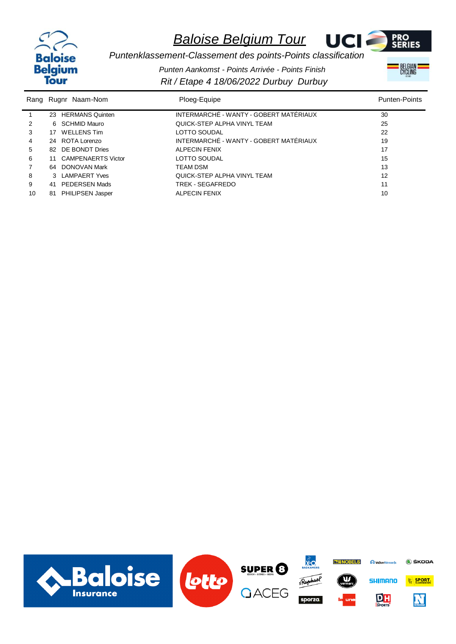



BELGIAN<br>CYCLING

*Puntenklassement-Classement des points-Points classification Punten Aankomst - Points Arrivée - Points Finish*

*Rit / Etape 4 18/06/2022 Durbuy Durbuy*

| Rang |    | Rugnr Naam-Nom          | Ploeg-Equipe                           | <b>Punten-Points</b> |
|------|----|-------------------------|----------------------------------------|----------------------|
|      |    | 23 HERMANS Quinten      | INTERMARCHÉ - WANTY - GOBERT MATÉRIAUX | 30                   |
| 2    |    | 6 SCHMID Mauro          | QUICK-STEP ALPHA VINYL TEAM            | 25                   |
| 3    |    | 17 WELLENS Tim          | LOTTO SOUDAL                           | 22                   |
| 4    |    | 24 ROTA Lorenzo         | INTERMARCHÉ - WANTY - GOBERT MATÉRIAUX | 19                   |
| 5    |    | 82 DE BONDT Dries       | <b>ALPECIN FENIX</b>                   | 17                   |
| 6    |    | 11 CAMPENAERTS Victor   | LOTTO SOUDAL                           | 15                   |
|      |    | 64 DONOVAN Mark         | <b>TEAM DSM</b>                        | 13                   |
| 8    |    | 3 LAMPAERT Yves         | QUICK-STEP ALPHA VINYL TEAM            | 12                   |
| 9    | 41 | PEDERSEN Mads           | TREK - SEGAFREDO                       | 11                   |
| 10   | 81 | <b>PHILIPSEN Jasper</b> | <b>ALPECIN FENIX</b>                   | 10                   |

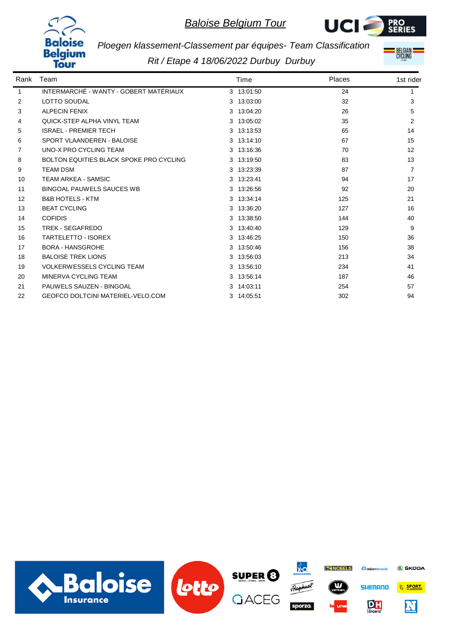



**BELGIAN**<br>Cycling

*Ploegen klassement-Classement par équipes- Team Classification*

*Rit / Etape 4 18/06/2022 Durbuy Durbuy*

| Rank | Team                                     | Time       | Places | 1st rider |
|------|------------------------------------------|------------|--------|-----------|
| 1    | INTERMARCHÉ - WANTY - GOBERT MATÉRIAUX   | 3 13:01:50 | 24     |           |
| 2    | <b>LOTTO SOUDAL</b>                      | 3 13:03:00 | 32     | 3         |
| 3    | <b>ALPECIN FENIX</b>                     | 3 13:04:20 | 26     | 5         |
| 4    | <b>QUICK-STEP ALPHA VINYL TEAM</b>       | 3 13:05:02 | 35     | 2         |
| 5    | <b>ISRAEL - PREMIER TECH</b>             | 3 13:13:53 | 65     | 14        |
| 6    | SPORT VLAANDEREN - BALOISE               | 3 13:14:10 | 67     | 15        |
| 7    | UNO-X PRO CYCLING TEAM                   | 3 13:16:36 | 70     | 12        |
| 8    | BOLTON EQUITIES BLACK SPOKE PRO CYCLING  | 3 13:19:50 | 83     | 13        |
| 9    | <b>TEAM DSM</b>                          | 3 13:23:39 | 87     | 7         |
| 10   | <b>TEAM ARKEA - SAMSIC</b>               | 3 13:23:41 | 94     | 17        |
| 11   | <b>BINGOAL PAUWELS SAUCES WB</b>         | 3 13:26:56 | 92     | 20        |
| 12   | <b>B&amp;B HOTELS - KTM</b>              | 3 13:34:14 | 125    | 21        |
| 13   | <b>BEAT CYCLING</b>                      | 3 13:36:20 | 127    | 16        |
| 14   | <b>COFIDIS</b>                           | 3 13:38:50 | 144    | 40        |
| 15   | TREK - SEGAFREDO                         | 3 13:40:40 | 129    | 9         |
| 16   | <b>TARTELETTO - ISOREX</b>               | 3 13:46:25 | 150    | 36        |
| 17   | <b>BORA - HANSGROHE</b>                  | 3 13:50:46 | 156    | 38        |
| 18   | <b>BALOISE TREK LIONS</b>                | 3 13:56:03 | 213    | 34        |
| 19   | <b>VOLKERWESSELS CYCLING TEAM</b>        | 3 13:56:10 | 234    | 41        |
| 20   | MINERVA CYCLING TEAM                     | 3 13:56:14 | 187    | 46        |
| 21   | PAUWELS SAUZEN - BINGOAL                 | 3 14:03:11 | 254    | 57        |
| 22   | <b>GEOFCO DOLTCINI MATERIEL-VELO.COM</b> | 3 14:05:51 | 302    | 94        |

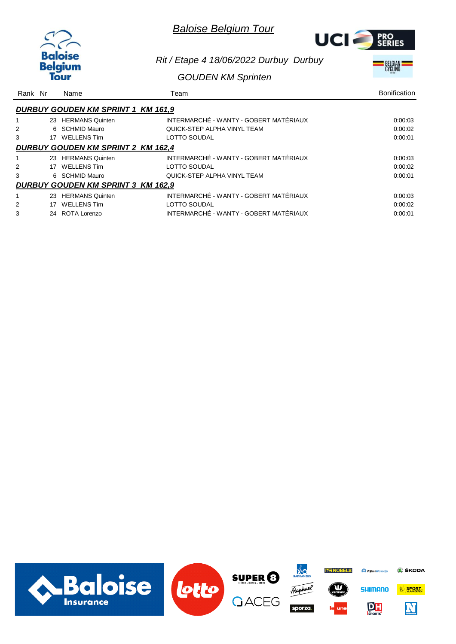| <b>Baloise</b> |
|----------------|
| aium           |
|                |



#### *Rit / Etape 4 18/06/2022 Durbuy Durbuy*

#### *GOUDEN KM Sprinten*

|  | <b>BELGIAN</b><br>CYCLING |  |
|--|---------------------------|--|
|  |                           |  |

| Rank Nr |                                           | Name                                      | Team                                   | <b>Bonification</b> |  |  |
|---------|-------------------------------------------|-------------------------------------------|----------------------------------------|---------------------|--|--|
|         |                                           | <b>DURBUY GOUDEN KM SPRINT 1 KM 161,9</b> |                                        |                     |  |  |
|         |                                           | 23 HERMANS Quinten                        | INTERMARCHÉ - WANTY - GOBERT MATÉRIAUX | 0:00:03             |  |  |
|         |                                           | 6 SCHMID Mauro                            | QUICK-STEP ALPHA VINYL TEAM            | 0:00:02             |  |  |
| 3       |                                           | 17 WELLENS Tim                            | <b>LOTTO SOUDAL</b>                    | 0:00:01             |  |  |
|         |                                           | <b>DURBUY GOUDEN KM SPRINT 2 KM 162,4</b> |                                        |                     |  |  |
|         |                                           | 23 HERMANS Quinten                        | INTERMARCHÉ - WANTY - GOBERT MATÉRIAUX | 0.00.03             |  |  |
|         |                                           | 17 WELLENS Tim                            | LOTTO SOUDAL                           | 0:00:02             |  |  |
| 3       |                                           | 6 SCHMID Mauro                            | QUICK-STEP ALPHA VINYL TEAM            | 0:00:01             |  |  |
|         | <b>DURBUY GOUDEN KM SPRINT 3 KM 162,9</b> |                                           |                                        |                     |  |  |
|         |                                           | 23 HERMANS Quinten                        | INTERMARCHÉ - WANTY - GOBERT MATÉRIAUX | 0.00.03             |  |  |
| 2       | 17                                        | <b>WELLENS Tim</b>                        | <b>LOTTO SOUDAL</b>                    | 0:00:02             |  |  |
| 3       | 24                                        | ROTA Lorenzo                              | INTERMARCHÉ - WANTY - GOBERT MATÉRIAUX | 0:00:01             |  |  |

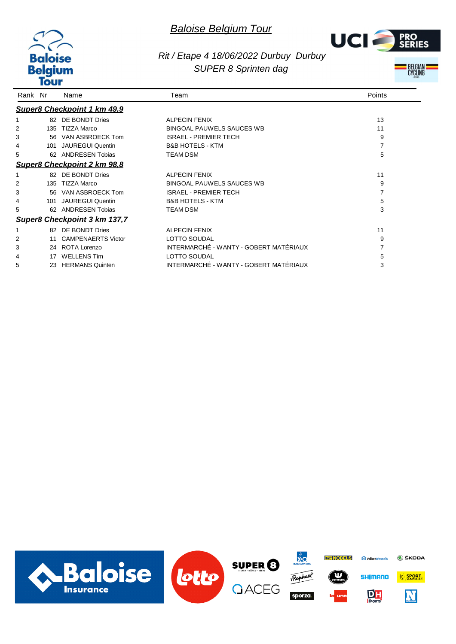



## *Rit / Etape 4 18/06/2022 Durbuy Durbuy SUPER 8 Sprinten dag*



| Rank Nr |     | Name                         | Team                                   | Points |
|---------|-----|------------------------------|----------------------------------------|--------|
|         |     | Super8 Checkpoint 1 km 49,9  |                                        |        |
|         |     | 82 DE BONDT Dries            | <b>ALPECIN FENIX</b>                   | 13     |
|         | 135 | TIZZA Marco                  | <b>BINGOAL PAUWELS SAUCES WB</b>       | 11     |
| 3       | 56  | VAN ASBROECK Tom             | <b>ISRAEL - PREMIER TECH</b>           | 9      |
| 4       | 101 | <b>JAUREGUI Quentin</b>      | <b>B&amp;B HOTELS - KTM</b>            | 7      |
| 5       | 62  | ANDRESEN Tobias              | <b>TEAM DSM</b>                        | 5      |
|         |     | Super8 Checkpoint 2 km 98.8  |                                        |        |
|         |     | 82 DE BONDT Dries            | <b>ALPECIN FENIX</b>                   | 11     |
|         | 135 | TIZZA Marco                  | <b>BINGOAL PAUWELS SAUCES WB</b>       | 9      |
| 3       | 56  | VAN ASBROECK Tom             | <b>ISRAEL - PREMIER TECH</b>           | 7      |
| 4       | 101 | <b>JAUREGUI Quentin</b>      | <b>B&amp;B HOTELS - KTM</b>            | 5      |
| 5       | 62. | ANDRESEN Tobias              | <b>TEAM DSM</b>                        | 3      |
|         |     | Super8 Checkpoint 3 km 137,7 |                                        |        |
|         |     | 82 DE BONDT Dries            | <b>ALPECIN FENIX</b>                   | 11     |
|         |     | <b>CAMPENAERTS Victor</b>    | <b>LOTTO SOUDAL</b>                    | 9      |
| 3       | 24  | ROTA Lorenzo                 | INTERMARCHÉ - WANTY - GOBERT MATÉRIAUX |        |
|         | 17  | <b>WELLENS Tim</b>           | <b>LOTTO SOUDAL</b>                    |        |
| 5       | 23  | <b>HERMANS Quinten</b>       | INTERMARCHÉ - WANTY - GOBERT MATÉRIAUX | 3      |

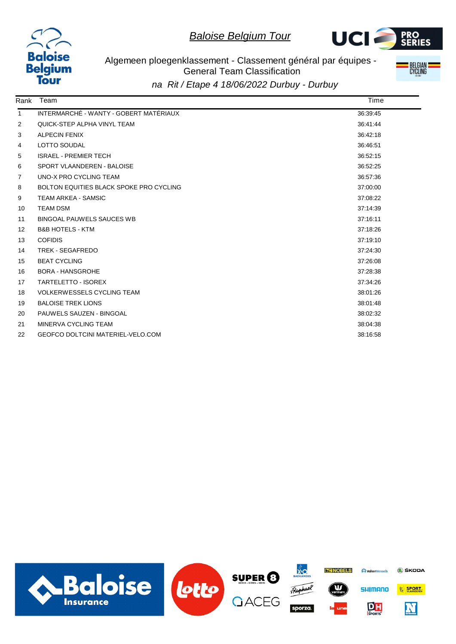



Algemeen ploegenklassement - Classement général par équipes - General Team Classification *na Rit / Etape 4 18/06/2022 Durbuy - Durbuy*



Rank Team Time 1 INTERMARCHÉ - WANTY - GOBERT MATÉRIAUX 36:39:45 2 QUICK-STEP ALPHA VINYL TEAM 36:41:44 3 ALPECIN FENIX 36:42:18 4 LOTTO SOUDAL 26:46:51 5 ISRAEL - PREMIER TECH 36:52:15 6 SPORT VLAANDEREN - BALOISE 36:52:25 The UNO-X PRO CYCLING TEAM 36:57:36 8 BOLTON EQUITIES BLACK SPOKE PRO CYCLING 37:00:00 9 TEAM ARKEA - SAMSIC 37:08:22 10 TEAM DSM 37:14:39 11 BINGOAL PAUWELS SAUCES WB 37:16:11 12 B&B HOTELS - KTM 37:18:26 13 COFIDIS 37:19:10 14 TREK - SEGAFREDO 37:24:30 15 BEAT CYCLING 37:26:08 16 BORA - HANSGROHE 37:28:38 17 TARTELETTO - ISOREX 37:34:26 18 VOLKERWESSELS CYCLING TEAM 38:01:26 19 BALOISE TREK LIONS **38:01:48** 20 PAUWELS SAUZEN - BINGOAL 38:02:32 21 MINERVA CYCLING TEAM 38:04:38 22 GEOFCO DOLTCINI MATERIEL-VELO.COM 38:16:58

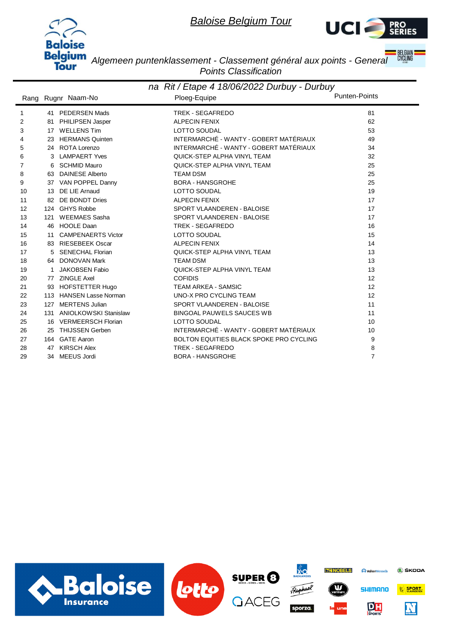



**BELGIAN**<br>CYCLING

*Algemeen puntenklassement - Classement général aux points - General Points Classification*

|    | na Rit / Etape 4 18/06/2022 Durbuy - Durbuy |                           |                                         |                      |  |  |
|----|---------------------------------------------|---------------------------|-----------------------------------------|----------------------|--|--|
|    |                                             | Rang Rugnr Naam-No        | Ploeg-Equipe                            | <b>Punten-Points</b> |  |  |
| 1  |                                             | 41 PEDERSEN Mads          | TREK - SEGAFREDO                        | 81                   |  |  |
| 2  |                                             | 81 PHILIPSEN Jasper       | <b>ALPECIN FENIX</b>                    | 62                   |  |  |
| 3  |                                             | 17 WELLENS Tim            | <b>LOTTO SOUDAL</b>                     | 53                   |  |  |
| 4  |                                             | 23 HERMANS Quinten        | INTERMARCHÉ - WANTY - GOBERT MATÉRIAUX  | 49                   |  |  |
| 5  |                                             | 24 ROTA Lorenzo           | INTERMARCHÉ - WANTY - GOBERT MATÉRIAUX  | 34                   |  |  |
| 6  |                                             | 3 LAMPAERT Yves           | QUICK-STEP ALPHA VINYL TEAM             | 32                   |  |  |
| 7  | 6                                           | <b>SCHMID Mauro</b>       | QUICK-STEP ALPHA VINYL TEAM             | 25                   |  |  |
| 8  | 63                                          | <b>DAINESE Alberto</b>    | <b>TEAM DSM</b>                         | 25                   |  |  |
| 9  |                                             | 37 VAN POPPEL Danny       | <b>BORA - HANSGROHE</b>                 | 25                   |  |  |
| 10 |                                             | 13 DE LIE Arnaud          | <b>LOTTO SOUDAL</b>                     | 19                   |  |  |
| 11 |                                             | 82 DE BONDT Dries         | <b>ALPECIN FENIX</b>                    | 17                   |  |  |
| 12 |                                             | 124 GHYS Robbe            | SPORT VLAANDEREN - BALOISE              | 17                   |  |  |
| 13 | 121                                         | <b>WEEMAES Sasha</b>      | SPORT VLAANDEREN - BALOISE              | 17                   |  |  |
| 14 |                                             | 46 HOOLE Daan             | <b>TREK - SEGAFREDO</b>                 | 16                   |  |  |
| 15 |                                             | 11 CAMPENAERTS Victor     | <b>LOTTO SOUDAL</b>                     | 15                   |  |  |
| 16 |                                             | 83 RIESEBEEK Oscar        | <b>ALPECIN FENIX</b>                    | 14                   |  |  |
| 17 | 5                                           | SENECHAL Florian          | QUICK-STEP ALPHA VINYL TEAM             | 13                   |  |  |
| 18 |                                             | 64 DONOVAN Mark           | <b>TEAM DSM</b>                         | 13                   |  |  |
| 19 |                                             | <b>JAKOBSEN Fabio</b>     | QUICK-STEP ALPHA VINYL TEAM             | 13                   |  |  |
| 20 |                                             | 77 ZINGLE Axel            | <b>COFIDIS</b>                          | 12                   |  |  |
| 21 |                                             | 93 HOFSTETTER Hugo        | <b>TEAM ARKEA - SAMSIC</b>              | 12                   |  |  |
| 22 |                                             | 113 HANSEN Lasse Norman   | UNO-X PRO CYCLING TEAM                  | 12                   |  |  |
| 23 | 127                                         | <b>MERTENS Julian</b>     | SPORT VLAANDEREN - BALOISE              | 11                   |  |  |
| 24 |                                             | 131 ANIOLKOWSKI Stanislaw | <b>BINGOAL PAUWELS SAUCES WB</b>        | 11                   |  |  |
| 25 |                                             | 16 VERMEERSCH Florian     | <b>LOTTO SOUDAL</b>                     | 10                   |  |  |
| 26 | 25                                          | <b>THIJSSEN Gerben</b>    | INTERMARCHÉ - WANTY - GOBERT MATÉRIAUX  | 10                   |  |  |
| 27 |                                             | 164 GATE Aaron            | BOLTON EQUITIES BLACK SPOKE PRO CYCLING | 9                    |  |  |
| 28 |                                             | 47 KIRSCH Alex            | TREK - SEGAFREDO                        | 8                    |  |  |
| 29 |                                             | 34 MEEUS Jordi            | <b>BORA - HANSGROHE</b>                 | $\overline{7}$       |  |  |

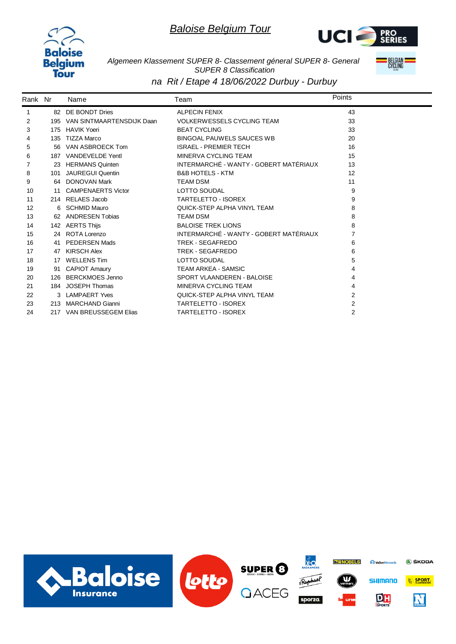



*Algemeen Klassement SUPER 8- Classement géneral SUPER 8- General SUPER 8 Classification*



*na Rit / Etape 4 18/06/2022 Durbuy - Durbuy*

| Rank Nr |     | Name                          | Team                                   | Points         |
|---------|-----|-------------------------------|----------------------------------------|----------------|
|         |     | 82 DE BONDT Dries             | <b>ALPECIN FENIX</b>                   | 43             |
| 2       |     | 195 VAN SINTMAARTENSDIJK Daan | <b>VOLKERWESSELS CYCLING TEAM</b>      | 33             |
| 3       | 175 | <b>HAVIK Yoeri</b>            | <b>BEAT CYCLING</b>                    | 33             |
| 4       | 135 | TIZZA Marco                   | <b>BINGOAL PAUWELS SAUCES WB</b>       | 20             |
| 5       |     | 56 VAN ASBROECK Tom           | <b>ISRAEL - PREMIER TECH</b>           | 16             |
| 6       |     | 187 VANDEVELDE Yentl          | MINERVA CYCLING TEAM                   | 15             |
| 7       |     | 23 HERMANS Quinten            | INTERMARCHÉ - WANTY - GOBERT MATÉRIAUX | 13             |
| 8       | 101 | <b>JAUREGUI Quentin</b>       | <b>B&amp;B HOTELS - KTM</b>            | 12             |
| 9       |     | 64 DONOVAN Mark               | <b>TEAM DSM</b>                        | 11             |
| 10      |     | 11 CAMPENAERTS Victor         | LOTTO SOUDAL                           | 9              |
| 11      |     | 214 RELAES Jacob              | <b>TARTELETTO - ISOREX</b>             | 9              |
| 12      |     | 6 SCHMID Mauro                | QUICK-STEP ALPHA VINYL TEAM            | 8              |
| 13      |     | 62 ANDRESEN Tobias            | <b>TEAM DSM</b>                        | 8              |
| 14      |     | 142 AERTS Thijs               | <b>BALOISE TREK LIONS</b>              | 8              |
| 15      |     | 24 ROTA Lorenzo               | INTERMARCHÉ - WANTY - GOBERT MATÉRIAUX | 7              |
| 16      |     | 41 PEDERSEN Mads              | <b>TREK - SEGAFREDO</b>                | 6              |
| 17      |     | 47 KIRSCH Alex                | TREK - SEGAFREDO                       | 6              |
| 18      |     | 17 WELLENS Tim                | <b>LOTTO SOUDAL</b>                    | 5              |
| 19      |     | 91 CAPIOT Amaury              | <b>TEAM ARKEA - SAMSIC</b>             | 4              |
| 20      |     | 126 BERCKMOES Jenno           | SPORT VLAANDEREN - BALOISE             | 4              |
| 21      |     | 184 JOSEPH Thomas             | MINERVA CYCLING TEAM                   | 4              |
| 22      |     | 3 LAMPAERT Yves               | QUICK-STEP ALPHA VINYL TEAM            | $\overline{2}$ |
| 23      |     | 213 MARCHAND Gianni           | TARTELETTO - ISOREX                    | 2              |
| 24      |     | 217 VAN BREUSSEGEM Elias      | <b>TARTELETTO - ISOREX</b>             | $\overline{2}$ |

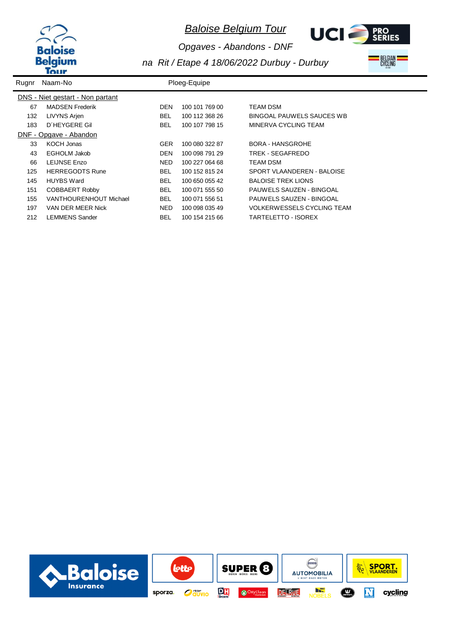



*Opgaves - Abandons - DNF*

*na Rit / Etape 4 18/06/2022 Durbuy - Durbuy*



| Rugnr | Naam-No                          |            | Ploeg-Equipe   |                                   |
|-------|----------------------------------|------------|----------------|-----------------------------------|
|       | DNS - Niet gestart - Non partant |            |                |                                   |
| 67    | <b>MADSEN Frederik</b>           | <b>DEN</b> | 100 101 769 00 | TEAM DSM                          |
| 132   | LIVYNS Arjen                     | BEL.       | 100 112 368 26 | BINGOAL PAUWELS SAUCES WB         |
| 183   | D'HEYGERE Gil                    | BEL.       | 100 107 798 15 | MINERVA CYCLING TEAM              |
|       | DNF - Opgave - Abandon           |            |                |                                   |
| 33    | KOCH Jonas                       | <b>GER</b> | 100 080 322 87 | <b>BORA - HANSGROHE</b>           |
| 43    | EGHOLM Jakob                     | DEN        | 100 098 791 29 | TREK - SEGAFREDO                  |
| 66    | LEIJNSE Enzo                     | NED.       | 100 227 064 68 | TEAM DSM                          |
| 125   | <b>HERREGODTS Rune</b>           | BEL.       | 100 152 815 24 | SPORT VLAANDEREN - BALOISE        |
| 145   | <b>HUYBS Ward</b>                | BEL.       | 100 650 055 42 | <b>BALOISE TREK LIONS</b>         |
| 151   | COBBAERT Robby                   | <b>BEL</b> | 100 071 555 50 | PAUWELS SAUZEN - BINGOAL          |
| 155   | VANTHOURENHOUT Michael           | BEL.       | 100 071 556 51 | PAUWELS SAUZEN - BINGOAL          |
| 197   | VAN DER MEER Nick                | NED.       | 100 098 035 49 | <b>VOLKERWESSELS CYCLING TEAM</b> |
| 212   | <b>LEMMENS Sander</b>            | <b>BEL</b> | 100 154 215 66 | TARTELETTO - ISOREX               |

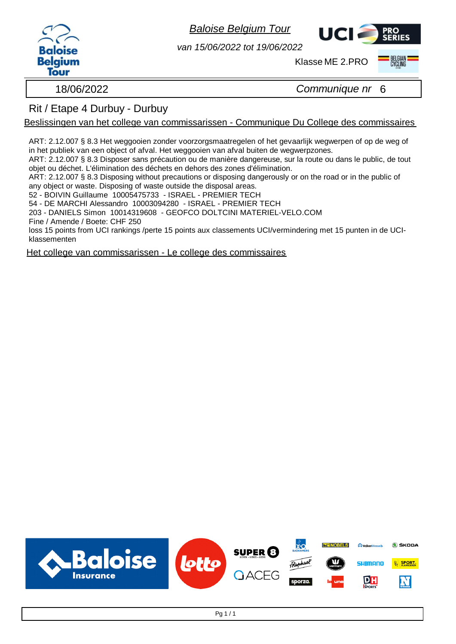



*van 15/06/2022 tot 19/06/2022*

Klasse ME 2.PRO



18/06/2022 *Communique nr* 6

## Rit / Etape 4 Durbuy - Durbuy

Beslissingen van het college van commissarissen - Communique Du College des commissaires

ART: 2.12.007 § 8.3 Het weggooien zonder voorzorgsmaatregelen of het gevaarlijk wegwerpen of op de weg of in het publiek van een object of afval. Het weggooien van afval buiten de wegwerpzones.

ART: 2.12.007 § 8.3 Disposer sans précaution ou de manière dangereuse, sur la route ou dans le public, de tout objet ou déchet. L'élimination des déchets en dehors des zones d'élimination.

ART: 2.12.007 § 8.3 Disposing without precautions or disposing dangerously or on the road or in the public of any object or waste. Disposing of waste outside the disposal areas.

52 - BOIVIN Guillaume 10005475733 - ISRAEL - PREMIER TECH

54 - DE MARCHI Alessandro 10003094280 - ISRAEL - PREMIER TECH

203 - DANIELS Simon 10014319608 - GEOFCO DOLTCINI MATERIEL-VELO.COM

Fine / Amende / Boete: CHF 250

loss 15 points from UCI rankings /perte 15 points aux classements UCI/vermindering met 15 punten in de UCIklassementen

Het college van commissarissen - Le college des commissaires

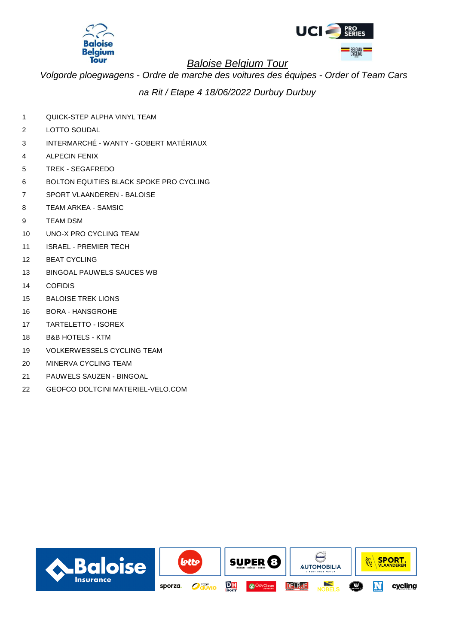



*Volgorde ploegwagens - Ordre de marche des voitures des équipes - Order of Team Cars*

*na Rit / Etape 4 18/06/2022 Durbuy Durbuy*

- 1 QUICK-STEP ALPHA VINYL TEAM
- 2 LOTTO SOUDAL
- 3 INTERMARCHÉ WANTY GOBERT MATÉRIAUX
- 4 ALPECIN FENIX
- 5 TREK SEGAFREDO
- 6 BOLTON EQUITIES BLACK SPOKE PRO CYCLING
- 7 SPORT VLAANDEREN BALOISE
- 8 TEAM ARKEA SAMSIC
- 9 TEAM DSM Rang 1ste renner: The renewall behavior of the renewall behavior  $\mathcal{S}$  and  $\mathcal{S}$  and  $\mathcal{S}$  and  $\mathcal{S}$  and  $\mathcal{S}$  and  $\mathcal{S}$  and  $\mathcal{S}$  are not the renewall behavior of the renewall behavior of t
- 10 UNO-X PRO CYCLING TEAM
- 11 ISRAEL PREMIER TECH
- 12 BEAT CYCLING
- 13 BINGOAL PAUWELS SAUCES WB
- 14 COFIDIS Range 1ste renner: The corresponding to the corresponding to the corresponding to the corresponding to the corresponding to the corresponding to the corresponding to the corresponding to the corresponding to the
- 15 BALOISE TREK LIONS
- 16 BORA HANSGROHE
- 17 TARTELETTO ISOREX
- 18 B&B HOTELS KTM
- 19 VOLKERWESSELS CYCLING TEAM
- 20 MINERVA CYCLING TEAM
- 21 PAUWELS SAUZEN BINGOAL
- 22 GEOFCO DOLTCINI MATERIEL-VELO.COM

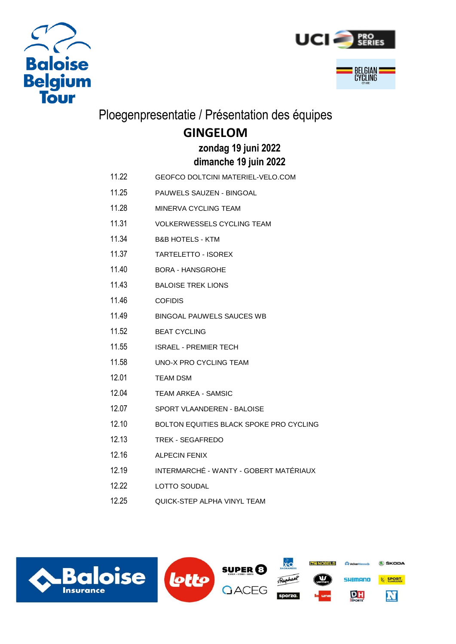



# Ploegenpresentatie / Présentation des équipes

# **GINGELOM**

## **dimanche 19 juin 2022 zondag 19 juni 2022**

- 11.22 GEOFCO DOLTCINI MATERIEL-VELO.COM
- 11.25 PAUWELS SAUZEN BINGOAL
- 11.28 MINERVA CYCLING TEAM
- 11.31 VOLKERWESSELS CYCLING TEAM
- 11.34 B&B HOTELS KTM
- 11.37 TARTELETTO ISOREX
- 11.40 BORA HANSGROHE
- 11.43 BALOISE TREK LIONS
- 11.46 COFIDIS
- 11.49 BINGOAL PAUWELS SAUCES WB
- 11.52 BEAT CYCLING
- 11.55 ISRAEL PREMIER TECH
- 11.58 UNO-X PRO CYCLING TEAM
- 12.01 TEAM DSM
- 12.04 TEAM ARKEA SAMSIC
- 12.07 SPORT VLAANDEREN BALOISE
- 12.10 BOLTON EQUITIES BLACK SPOKE PRO CYCLING
- 12.13 TREK SEGAFREDO
- 12.16 ALPECIN FENIX
- 12.19 INTERMARCHÉ WANTY GOBERT MATÉRIAUX
- 12.22 LOTTO SOUDAL
- 12.25 QUICK-STEP ALPHA VINYL TEAM

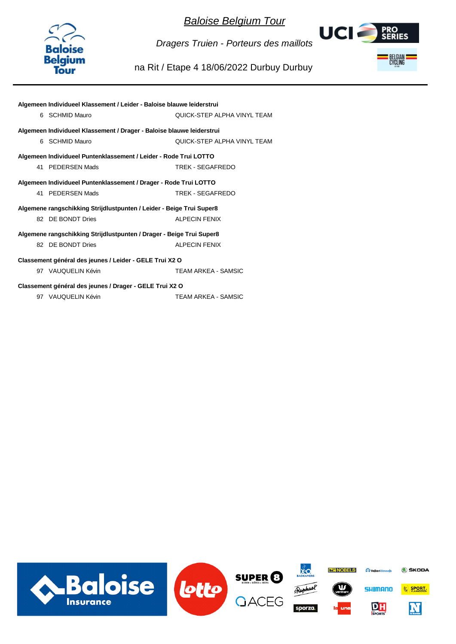

UCI 2 **PRO<br>SERIES** BELGIAN<br>CYCLING

*Dragers Truien - Porteurs des maillots*

#### na Rit / Etape 4 18/06/2022 Durbuy Durbuy

| Algemeen Individueel Klassement / Leider - Baloise blauwe leiderstrui |                                     |
|-----------------------------------------------------------------------|-------------------------------------|
| 6 SCHMID Mauro                                                        | QUICK-STEP ALPHA VINYL TEAM         |
| Algemeen Individueel Klassement / Drager - Baloise blauwe leiderstrui |                                     |
| 6 SCHMID Mauro                                                        | <b>OUICK-STEP AI PHA VINYL TEAM</b> |
| Algemeen Individueel Puntenklassement / Leider - Rode Trui LOTTO      |                                     |
| 41 PEDERSEN Mads                                                      | TREK - SEGAFREDO                    |
| Algemeen Individueel Puntenklassement / Drager - Rode Trui LOTTO      |                                     |
| 41 PEDERSEN Mads                                                      | TREK - SEGAEREDO                    |
| Algemene rangschikking Strijdlustpunten / Leider - Beige Trui Super8  |                                     |
| 82 DE BONDT Dries                                                     | <b>ALPECIN FENIX</b>                |
| Algemene rangschikking Strijdlustpunten / Drager - Beige Trui Super8  |                                     |
| 82 DE BONDT Dries                                                     | <b>ALPECIN FENIX</b>                |
| Classement général des jeunes / Leider - GELE Trui X2 O               |                                     |
| 97 VAUQUELIN Kévin                                                    | TEAM ARKEA - SAMSIC                 |
| Classement général des jeunes / Drager - GELE Trui X2 O               |                                     |
| 97 VAUQUELIN Kévin                                                    | TEAM ARKEA - SAMSIC                 |

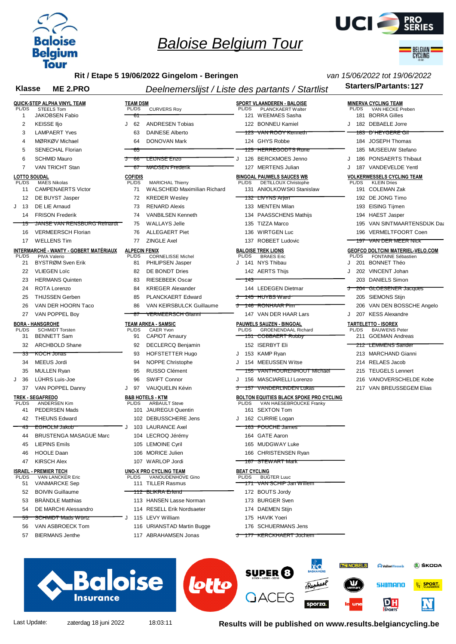



BELGIAN<br>CYCLINO

*van 15/06/2022 tot 19/06/2022*

**Rit / Etape 5 19/06/2022 Gingelom - Beringen**

#### Klasse ME 2.PRO **Starters/Partants:127** Deelnemerslijst / Liste des partants / Startlist Starters/Partants:127

| PL/DS                        | QUICK-STEP ALPHA VINYL TEAM<br><b>STEELS Tom</b> | <b>TEAM DSM</b><br>PL/DS | <b>CURVERS Roy</b>                                        | PL/DS                        | SPORT VLAANDEREN - BALOISE<br>PLANCKAERT Walter                 |   | PL/DS | <b>MINERVA CYCLING TEAM</b><br>VAN HECKE Preben         |
|------------------------------|--------------------------------------------------|--------------------------|-----------------------------------------------------------|------------------------------|-----------------------------------------------------------------|---|-------|---------------------------------------------------------|
| 1                            | <b>JAKOBSEN Fabio</b>                            | 61                       |                                                           |                              | 121 WEEMAES Sasha                                               |   |       | 181 BORRA Gilles                                        |
| $\overline{2}$               | <b>KEISSE IIjo</b>                               | 62<br>J                  | <b>ANDRESEN Tobias</b>                                    |                              | 122 BONNEU Kamiel                                               | J |       | 182 DEBAELE Jorre                                       |
| 3                            | <b>LAMPAERT Yves</b>                             | 63                       | <b>DAINESE Alberto</b>                                    |                              | 123 VAN ROOY Kenneth                                            |   |       | <del>183 D'HEYGERE GII</del>                            |
| 4                            | MØRKØV Michael                                   | 64                       | <b>DONOVAN Mark</b>                                       |                              | 124 GHYS Robbe                                                  |   |       | 184 JOSEPH Thomas                                       |
| 5                            | <b>SENECHAL Florian</b>                          | 65                       |                                                           |                              | <u>125 HERREGODTS Rune</u>                                      |   |       | 185 MUSEEUW Stefano                                     |
| 6                            | <b>SCHMID Mauro</b>                              | ᠸ<br>-66                 | <b>LEIJNSE Enzo</b>                                       | $\cdot$                      | 126 BERCKMOES Jenno                                             | J |       | 186 PONSAERTS Thibaut                                   |
| 7                            | <b>VAN TRICHT Stan</b>                           | 67                       | <del>MADSEN Frederik</del>                                |                              | 127 MERTENS Julian                                              | J |       | 187 VANDEVELDE Yentl                                    |
| <b>LOTTO SOUDAL</b><br>PL/DS | <b>MAES Nikolas</b>                              | <b>COFIDIS</b><br>PL/DS  | <b>MARICHAL Thierry</b>                                   | PL/DS                        | <b>BINGOAL PAUWELS SAUCES WB</b><br><b>DETILLOUX Christophe</b> |   | PL/DS | <b>VOLKERWESSELS CYCLING TEAM</b><br><b>KLEIN Dries</b> |
| 11                           | <b>CAMPENAERTS Victor</b>                        | 71                       | <b>WALSCHEID Maximilian Richard</b>                       |                              | 131 ANIOLKOW SKI Stanislaw                                      |   |       | 191 COLEMAN Zak                                         |
| 12                           | DE BUYST Jasper                                  | 72                       | <b>KREDER Wesley</b>                                      |                              | <u>132  LIVYNS Arjen</u>                                        |   |       | 192 DE JONG Timo                                        |
| -13<br>J                     | DE LIE Arnaud                                    | 73                       | <b>RENARD Alexis</b>                                      |                              | 133 MENTEN Milan                                                |   |       | 193 EISING Tijmen                                       |
| 14                           | <b>FRISON Frederik</b>                           | 74                       | <b>VANBILSEN Kenneth</b>                                  |                              | 134 PAASSCHENS Mathijs                                          |   |       | 194 HAEST Jasper                                        |
| 75                           | JANSE VAN RENSBURG Reinardt                      | 75                       | <b>WALLAYS Jelle</b>                                      |                              | 135 TIZZA Marco                                                 |   |       | 195 VAN SINTMAARTENSDIJK Daa                            |
| 16                           | <b>VERMEERSCH Florian</b>                        | 76                       | <b>ALLEGAERT Piet</b>                                     | 136                          | <b>WIRTGEN Luc</b>                                              |   |       | 196 VERMELTFOORT Coen                                   |
| 17                           | <b>WELLENS Tim</b>                               | 77                       | <b>ZINGLE Axel</b>                                        |                              | 137 ROBEET Ludovic                                              |   | 197   | <b>VAN DER MEER NICK</b>                                |
|                              | <u>INTERMARCHÉ - WANTY - GOBERT MATÉRIAUX</u>    | <b>ALPECIN FENIX</b>     |                                                           |                              | <b>BALOISE TREK LIONS</b>                                       |   |       | <b>GEOFCO DOLTCINI MATERIEL-VELO.COM</b>                |
| PL/DS                        | PIVA Valerio                                     | PL/DS                    | <b>CORNELISSE Michel</b>                                  | PL/DS                        | <b>BRAES</b> Eric                                               |   | PL/DS | FONTAINE Sébastien                                      |
| 21                           | BYSTRØM Sven Erik                                | 81                       | PHILIPSEN Jasper                                          |                              | J 141 NYS Thibau                                                |   |       | 201 BONNET Théo                                         |
| 22                           | <b>VLIEGEN Loïc</b>                              | 82                       | DE BONDT Dries                                            |                              | 142 AERTS Thijs                                                 |   |       | 202 VINCENT Johan                                       |
| 23                           | <b>HERMANS Quinten</b>                           | 83                       | <b>RIESEBEEK Oscar</b>                                    | 143                          |                                                                 |   |       | 203 DANIELS Simon                                       |
| 24                           | <b>ROTA Lorenzo</b>                              | 84                       | <b>KRIEGER Alexander</b>                                  |                              | 144 LEDEGEN Dietmar                                             | ᠸ |       | 204 GLOESENER Jacques                                   |
| 25                           | <b>THIJSSEN Gerben</b>                           | 85                       | PLANCKAERT Edward                                         | ᠸ                            | <del>145 HUYBS Ward</del>                                       |   |       | 205 SIEMONS Stiin                                       |
| 26                           | VAN DER HOORN Taco                               | 86                       | VAN KEIRSBULCK Guillaume                                  | ᠸ                            | 146 RONHAAR Pim                                                 |   |       | 206 VAN DEN BOSSCHE Angelo                              |
| 27                           | VAN POPPEL Boy                                   | -87                      | <b>VERMEERSCH Glanni</b>                                  |                              | 147 VAN DER HAAR Lars                                           | J |       | 207 KESS Alexandre                                      |
|                              | <b>BORA - HANSGROHE</b>                          |                          | <b>TEAM ARKEA - SAMSIC</b>                                |                              | PAUWELS SAUZEN - BINGOAL                                        |   |       | <b>TARTELETTO - ISOREX</b>                              |
| PL/DS<br>31                  | <b>SCHMIDT Torsten</b><br><b>BENNETT Sam</b>     | PL/DS<br>91              | CAER Yvon<br><b>CAPIOT Amaury</b>                         | PL/DS                        | <b>GROENENDAAL Richard</b><br><u>151 COBBAERT Robby</u>         |   | PL/DS | <b>BAUWENS Peter</b><br>211 GOEMAN Andreas              |
| 32                           | <b>ARCHBOLD Shane</b>                            | 92                       | <b>DECLERCQ Benjamin</b>                                  |                              | 152 ISERBYT Eli                                                 |   |       | <del>212 LEMMENS Sander</del>                           |
| 33                           | <b>KOCH Jonas</b>                                | 93                       | <b>HOFSTETTER Hugo</b>                                    | J                            | 153 KAMP Ryan                                                   |   |       | 213 MARCHAND Gianni                                     |
| 34                           | MEEUS Jordi                                      | 94                       | <b>NOPPE Christophe</b>                                   |                              | 154 MEEUSSEN Witse                                              |   |       | 214 RELAES Jacob                                        |
| 35                           | <b>MULLEN Ryan</b>                               | 95                       | <b>RUSSO Clément</b>                                      | 155                          | <b>VANTHOURENHOUT Michael</b>                                   |   |       | 215 TEUGELS Lennert                                     |
| J<br>36                      | LÜHRS Luis-Joe                                   | 96                       | <b>SWIFT Connor</b>                                       | J                            | 156 MASCIARELLI Lorenzo                                         |   |       | 216 VANOVERSCHELDE Kobe                                 |
|                              |                                                  |                          |                                                           |                              |                                                                 |   |       |                                                         |
|                              |                                                  |                          |                                                           |                              |                                                                 |   |       |                                                         |
| 37                           | VAN POPPEL Danny                                 | J 97                     | VAUQUELIN Kévin                                           | ᠸ<br>757                     | <b>VANDERLINDEN LUKAS</b>                                       |   |       | 217 VAN BREUSSEGEM Elias                                |
| <b>PL/DS</b>                 | <b>TREK - SEGAFREDO</b><br><b>ANDERSEN Kim</b>   | PL/DS                    | <b>B&amp;B HOTELS - KTM</b>                               | PL/DS                        | <b>BOLTON EQUITIES BLACK SPOKE PRO CYCLING</b>                  |   |       |                                                         |
| 41                           | <b>PEDERSEN Mads</b>                             |                          | <b>ARBAULT Steve</b><br>101 JAUREGUI Quentin              |                              | VAN HAESEBROUCKE Franky<br>161 SEXTON Tom                       |   |       |                                                         |
| 42                           | <b>THEUNS Edward</b>                             |                          | 102 DEBUSSCHERE Jens                                      |                              | J 162 CURRIE Logan                                              |   |       |                                                         |
| 43                           | <b>EGHOLM Jakob</b>                              |                          | J 103 LAURANCE Axel                                       |                              | <del>163 FOUCHE James</del>                                     |   |       |                                                         |
| 44                           | BRUSTENGA MASAGUE Marc                           |                          | 104 LECROQ Jérémy                                         |                              | 164 GATE Aaron                                                  |   |       |                                                         |
| 45                           | <b>LIEPINS Emils</b>                             |                          | 105 LEMOINE Cyril                                         |                              | 165 MUDGWAY Luke                                                |   |       |                                                         |
| 46                           | <b>HOOLE Daan</b>                                |                          | 106 MORICE Julien                                         |                              | 166 CHRISTENSEN Ryan                                            |   |       |                                                         |
|                              |                                                  |                          |                                                           |                              |                                                                 |   |       |                                                         |
| 47                           | <b>KIRSCH Alex</b>                               |                          | 107 WARLOP Jordi                                          |                              | 167 STEWART Mark                                                |   |       |                                                         |
| PL/DS                        | <b>ISRAEL - PREMIER TECH</b><br>VAN LANCKER Eric | PL/DS                    | <b>UNO-X PRO CYCLING TEAM</b><br><b>VANOUDENHOVE Gino</b> | <b>BEAT CYCLING</b><br>PL/DS | <b>BUGTER Luuc</b>                                              |   |       |                                                         |
| 51                           | <b>VANMARCKE Sep</b>                             |                          | 111 TILLER Rasmus                                         |                              | <u>171 VAN SCHIP Jan Willem</u>                                 |   |       |                                                         |
| 52                           | <b>BOIVIN Guillaume</b>                          |                          | <u>112 BLIKRA Erlend</u>                                  |                              | 172 BOUTS Jordy                                                 |   |       |                                                         |
| 53                           | <b>BRANDLE Matthias</b>                          |                          | 113 HANSEN Lasse Norman                                   |                              | 173 BURGER Sven                                                 |   |       |                                                         |
| 54                           | DE MARCHI Alessandro                             |                          | 114 RESELL Erik Nordsaeter                                |                              | 174 DAEMEN Stijn                                                |   |       |                                                         |
| 55                           | <del>SCHMIDT Mads Würtz</del>                    |                          | J 115 LEVY William                                        |                              | 175 HAVIK Yoeri                                                 |   |       |                                                         |
| 56                           | VAN ASBROECK Tom                                 |                          | 116 URIANSTAD Martin Bugge                                |                              | 176 SCHUERMANS Jens                                             |   |       |                                                         |



Last Update: zaterdag 18 juni 2022 18:03:11 **Results will be published on www.results.belgiancycling.be**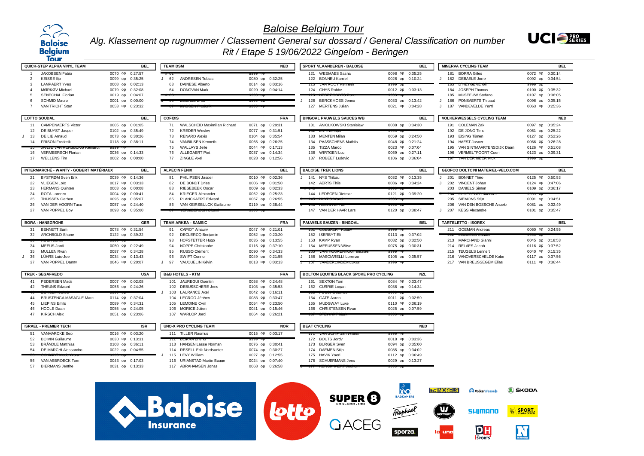





|              | Tour                                   |                 |                                                |                                    | $1.007$ Liapo o 10/00/2022 Onigoioni Domigoni    |                                    |                                     |                 |
|--------------|----------------------------------------|-----------------|------------------------------------------------|------------------------------------|--------------------------------------------------|------------------------------------|-------------------------------------|-----------------|
|              | QUICK-STEP ALPHA VINYL TEAM            | <b>BEL</b>      | <b>TEAM DSM</b>                                | <b>NED</b>                         | <b>SPORT VLAANDEREN - BALOISE</b>                | <b>BEL</b>                         | <b>MINERVA CYCLING TEAM</b>         | <b>BEL</b>      |
|              | <b>JAKOBSEN Fabio</b>                  | 0070 op 0:27:57 |                                                |                                    | 121 WEEMAES Sasha                                | 0098 op 0:35:25                    | 181 BORRA Gilles                    | 0072 op 0:30:14 |
| 2            | <b>KEISSE Ilio</b>                     | 0099 op 0:35:25 | <b>ANDRESEN Tobias</b><br>62<br>$\cdot$        | 0080 op 0:32:25                    | 122 BONNEU Kamiel                                | 0026 op 0:10:24                    | 182 DEBAELE Jorre                   | 0092 op 0:34:54 |
| $\mathbf{B}$ | <b>LAMPAERT Yves</b>                   | 0008 op 0:02:13 | 63<br><b>DAINESE Alberto</b>                   | 0014 op 0:03:16                    | IZƏ VAN NOOT NEHIBI                              |                                    |                                     |                 |
|              | MØRKØV Michael                         | 0079 op 0:32:08 | 64<br><b>DONOVAN Mark</b>                      | 0020 op 0:04:14                    | 124 GHYS Robbe                                   | 0012 op 0:03:13                    | 184 JOSEPH Thomas                   | 0100 op 0:35:32 |
| 5            | <b>SENECHAL Florian</b>                | 0019 op 0:04:07 |                                                | ານນາ ທະ                            |                                                  |                                    | 185 MUSEEUW Stefano                 | 0107 op 0:36:05 |
|              | SCHMID Mauro                           | 0001 op 0:00:00 | <b>LEIGINGE EIIZU</b>                          | saaa up                            | 126 BERCKMOES Jenno                              | 0033 op 0:13:42                    | 186<br>PONSAERTS Thibaut<br>$\cdot$ | 0096 op 0:35:15 |
|              | VAN TRICHT Stan                        | 0053 op 0:23:32 | <b>INVOLTER TOUC</b>                           |                                    | 127 MERTENS Julian                               | 0021 op 0:04:28                    | 187 VANDEVELDE Yentl<br>$\cdot$     | 0063 op 0:25:36 |
|              | <b>LOTTO SOUDAL</b>                    | <b>BEL</b>      | <b>COFIDIS</b>                                 | <b>FRA</b>                         | <b>BINGOAL PAUWELS SAUCES WB</b>                 | <b>BEL</b>                         | <b>VOLKERWESSELS CYCLING TEAM</b>   | <b>NED</b>      |
| 11           | <b>CAMPENAERTS Victor</b>              | 0005 op 0:01:05 | 71 WALSCHEID Maximilian Richard                | 0071 op 0:29:31                    | 131 ANIOLKOWSKI Stanislaw                        | 0088 op 0:34:30                    | 191 COLEMAN Zak                     | 0097 op 0:35:24 |
| 12           | DE BUYST Jasper                        | 0102 op 0:35:49 | 72<br><b>KREDER Weslev</b>                     | 0077 op 0:31:51                    |                                                  |                                    | 192 DE JONG Timo                    | 0061 op 0:25:22 |
| $J$ 13       | DE LIE Arnaud                          | 0073 op 0:30:26 | 73<br><b>RENARD Alexis</b>                     | 0104 op 0:35:54                    | 133 MENTEN Milan                                 | 0059 op 0:24:50                    | 193 EISING Tiimen                   | 0127 op 0:52:26 |
|              | 14 FRISON Frederik                     | 0118 op 0:38:11 | VANBILSEN Kenneth<br>74                        | 0065 op 0:26:25                    | PAASSCHENS Mathiis<br>134                        | 0048 op 0:21:24                    | 194 HAEST Jasper                    | 0066 op 0:26:28 |
|              |                                        |                 | 75<br><b>WALLAYS Jelle</b>                     | 0044 op 0:17:13                    | 135<br><b>TIZZA Marco</b>                        | 0023 op 0:07:04                    | 195 VAN SINTMAARTENSDIJK Daan       | 0126 op 0:51:08 |
|              | 16 VERMEERSCH Florian                  | 0036 op 0:14:33 | 76<br><b>ALLEGAERT Piet</b>                    | 0037 op 0:14:34                    | <b>WIRTGEN Luc</b><br>136                        | 0069 op 0:27:11                    | 196 VERMELTFOORT Coen               | 0123 op 0:39:31 |
| 17           | <b>WELLENS Tim</b>                     | 0002 op 0:00:00 | <b>ZINGLE Axel</b><br>77                       | 0028 op 0:12:56                    | <b>ROBEET Ludovic</b><br>137                     | 0106 op 0:36:04                    | <b>131 VAN DEN MEEN NR</b>          |                 |
|              | INTERMARCHÉ - WANTY - GOBERT MATÉRIAUX | <b>BEL</b>      | <b>ALPECIN FENIX</b>                           | <b>BEL</b>                         | <b>BALOISE TREK LIONS</b>                        | <b>BEL</b>                         | GEOFCO DOLTCINI MATERIEL-VELO.COM   | <b>BEL</b>      |
| 21           | BYSTRØM Sven Erik                      | 0039 op 0:14:36 | PHILIPSEN Jasper<br>81                         | 0010 op 0:02:36                    | J 141 NYS Thibau                                 | 0032 op 0:13:35                    | J 201 BONNET Théo                   | 0125 op 0:50:53 |
| 22           | <b>VLIEGEN Loïc</b>                    | 0017 op 0:03:33 | DE BONDT Dries<br>82                           | 0006 op 0:01:50                    | 142 AERTS Thiis                                  | 0086 op 0:34:24                    | 202 VINCENT Johan<br>J              | 0124 op 0:47:06 |
| 23           | <b>HERMANS Quinten</b>                 | 0003 op 0:00:08 | 83<br><b>RIESEBEEK Oscar</b>                   | 0009 op 0:02:33                    |                                                  |                                    | 203 DANIELS Simon                   | 0109 op 0:36:17 |
| 24           | ROTA Lorenzo                           | 0004 op 0:00:41 | 84<br><b>KRIEGER Alexander</b>                 | 0062 op 0:25:23                    | 144 LEDEGEN Dietman                              | 0121 op 0:39:20                    |                                     |                 |
| 25           | THIJSSEN Gerben                        | 0095 op 0:35:07 | 85<br>PLANCKAERT Edward                        | 0067 op 0:26:55                    | <b>THU LIDIDO WAIU</b>                           | ວວວວ ເ                             | 205 SIEMONS Stiin                   | 0091 op 0:34:51 |
| 26           | VAN DER HOORN Taco                     | 0057 op 0:24:40 | VAN KEIRSBULCK Guillaume<br>86                 | 0119 op 0:38:44                    | <b>TVORE IOVINT</b>                              |                                    | VAN DEN BOSSCHE Angelo<br>206       | 0081 op 0:32:49 |
| 27           | VAN POPPEL Bov                         | 0093 op 0:35:00 |                                                |                                    | 147 VAN DER HAAR Lars                            | 0120 op 0:38:47                    | 207 KESS Alexandre<br>J             | 0101 op 0:35:47 |
|              | <b>BORA - HANSGROHE</b>                | GER             | <b>TEAM ARKEA - SAMSIC</b>                     | <b>FRA</b>                         | PAUWELS SAUZEN - BINGOAL                         | <b>BEL</b>                         | <b>TARTELETTO - ISOREX</b>          | <b>BEL</b>      |
| 31           | <b>BENNETT Sam</b>                     | 0078 op 0:31:54 | <b>CAPIOT Amaury</b><br>91                     | 0047 op 0:21:01                    |                                                  |                                    | 211 GOEMAN Andreas                  | 0060 op 0:24:55 |
|              | 32 ARCHBOLD Shane                      | 0122 op 0:39:22 | <b>DECLERCQ Beniamin</b><br>92                 | 0052 op 0:23:20                    | 152 ISERBYT Eli                                  | 0113 op 0:37:02                    |                                     |                 |
|              |                                        |                 | 93<br>HOFSTETTER Hugo                          | 0035 op 0:13:55                    | 153 KAMP Rvan<br>J                               | 0082 op 0:32:50                    | 213 MARCHAND Gianni                 | 0045 op 0:18:53 |
| 34           | MEEUS Jordi                            | 0050 op 0:22:49 | 94<br>NOPPE Christophe                         | 0115 op 0:37:10                    | J 154 MEEUSSEN Witse                             | 0075 op 0:30:31                    | 214 RELAES Jacob                    | 0116 op 0:37:52 |
| 35           | <b>MULLEN Ryan</b>                     | 0087 op 0:34:28 | RUSSO Clément<br>95                            | 0090 op 0:34:33                    |                                                  |                                    | 215 TEUGELS Lennert                 | 0040 op 0:15:35 |
| $1 - 36$     | LÜHRS Luis-Joe                         | 0034 op 0:13:43 | 96<br>SWIFT Connor                             | 0049 op 0:21:55                    | J 156 MASCIARELLI Lorenzo                        | 0105 op 0:35:57                    | 216 VANOVERSCHELDE Kobe             | 0117 op 0:37:56 |
| 37           | VAN POPPEL Danny                       | 0046 op 0:20:07 | 97<br>VAUQUELIN Kévin<br>$\mathbf{J}$          | 0013 op 0:03:13                    | <b>J 107 VANDEREINDEN</b>                        | ເລສສ ບນ                            | 217 VAN BREUSSEGEM Elias            | 0111 op 0:36:44 |
|              | <b>TREK - SEGAFREDO</b>                | <b>USA</b>      | <b>B&amp;B HOTELS - KTM</b>                    | <b>FRA</b>                         | BOLTON EQUITIES BLACK SPOKE PRO CYCLING          | <b>NZL</b>                         |                                     |                 |
|              | 41 PEDERSEN Mads                       | 0007 op 0:02:08 | 101 JAUREGUI Quentin                           | 0058 op 0:24:48                    | 161 SEXTON Tom                                   | 0084 op 0:33:47                    |                                     |                 |
|              | 42 THEUNS Edward                       | 0056 op 0:24:26 | 102 DEBUSSCHERE Jens                           | 0103 op 0:35:53                    | J 162 CURRIE Logan                               | 0038 op 0:14:34                    |                                     |                 |
|              |                                        |                 | 103 LAURANCE Axel                              | 0042 op 0:16:11                    |                                                  |                                    |                                     |                 |
| 44           | BRUSTENGA MASAGUE Marc                 | 0114 op 0:37:04 | 104 LECROQ Jérémv                              | 0083 op 0:33:47                    | 164 GATE Aaron                                   | 0011 op 0:02:59                    |                                     |                 |
| 45           | <b>LIEPINS Emils</b>                   | 0089 op 0:34:31 | 105 LEMOINE Cvril                              | 0054 op 0:23:50                    | 165 MUDGWAY Luke                                 | 0110 op 0:36:19                    |                                     |                 |
| 46           | <b>HOOLE Daan</b>                      | 0055 op 0:24:05 | 106 MORICE Julien                              | 0041 op 0:15:46                    | 166 CHRISTENSEN Rvan                             | 0025 op 0:07:59                    |                                     |                 |
| 47           | <b>KIRSCH Alex</b>                     | 0051 op 0:23:06 | 107 WARLOP Jordi                               | 0064 op 0:26:21                    | GIFWRNHW                                         |                                    |                                     |                 |
|              | <b>ISRAEL - PREMIER TECH</b>           | <b>ISR</b>      | <b>UNO-X PRO CYCLING TEAM</b>                  | <b>NOR</b>                         | <b>BEAT CYCLING</b>                              | <b>NED</b>                         |                                     |                 |
| 51           | VANMARCKE Sen                          | 0016 op 0:03:20 | 111 TILLER Rasmus                              | 0015 op 0:03:17                    |                                                  |                                    |                                     |                 |
| 52           | <b>BOIVIN Guillaume</b>                | 0030 op 0:13:31 | <b>PLINNALICIP</b>                             |                                    | 172 BOUTS Jordv                                  | 0018 op 0:03:36                    |                                     |                 |
|              |                                        |                 | 113 HANSEN Lasse Norman                        | 0076 op 0:30:41                    | 173 BURGER Sven                                  | 0094 op 0:35:00                    |                                     |                 |
|              |                                        |                 |                                                |                                    |                                                  |                                    |                                     |                 |
| 53           | <b>BRÄNDLE Matthias</b>                | 0108 op 0:36:11 |                                                |                                    |                                                  |                                    |                                     |                 |
| 54           | DE MARCHI Alessandro                   | 0022 op 0:04:55 | 114 RESELL Erik Nordsaeter                     | 0074 op 0:30:27                    | <b>DAEMEN Stiin</b><br>174                       | 0085 op 0:34:02                    |                                     |                 |
| 56           | VAN ASBROECK Tom                       | 0043 op 0:17:03 | 115 LEVY William<br>116 URIANSTAD Martin Bugge | 0027 op 0:12:55<br>0024 op 0:07:40 | <b>HAVIK Yoeri</b><br>175<br>176 SCHUERMANS Jens | 0112 op 0:36:49<br>0029 op 0:13:27 |                                     |                 |